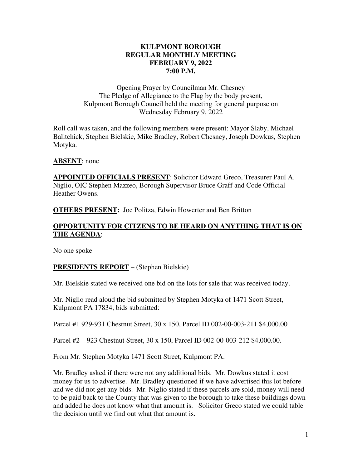#### **KULPMONT BOROUGH REGULAR MONTHLY MEETING FEBRUARY 9, 2022 7:00 P.M.**

Opening Prayer by Councilman Mr. Chesney The Pledge of Allegiance to the Flag by the body present, Kulpmont Borough Council held the meeting for general purpose on Wednesday February 9, 2022

Roll call was taken, and the following members were present: Mayor Slaby, Michael Balitchick, Stephen Bielskie, Mike Bradley, Robert Chesney, Joseph Dowkus, Stephen Motyka.

#### **ABSENT**: none

**APPOINTED OFFICIALS PRESENT**: Solicitor Edward Greco, Treasurer Paul A. Niglio, OIC Stephen Mazzeo, Borough Supervisor Bruce Graff and Code Official Heather Owens.

**OTHERS PRESENT:** Joe Politza, Edwin Howerter and Ben Britton

#### **OPPORTUNITY FOR CITZENS TO BE HEARD ON ANYTHING THAT IS ON THE AGENDA**:

No one spoke

#### **PRESIDENTS REPORT** – (Stephen Bielskie)

Mr. Bielskie stated we received one bid on the lots for sale that was received today.

Mr. Niglio read aloud the bid submitted by Stephen Motyka of 1471 Scott Street, Kulpmont PA 17834, bids submitted:

Parcel #1 929-931 Chestnut Street, 30 x 150, Parcel ID 002-00-003-211 \$4,000.00

Parcel #2 – 923 Chestnut Street, 30 x 150, Parcel ID 002-00-003-212 \$4,000.00.

From Mr. Stephen Motyka 1471 Scott Street, Kulpmont PA.

Mr. Bradley asked if there were not any additional bids. Mr. Dowkus stated it cost money for us to advertise. Mr. Bradley questioned if we have advertised this lot before and we did not get any bids. Mr. Niglio stated if these parcels are sold, money will need to be paid back to the County that was given to the borough to take these buildings down and added he does not know what that amount is. Solicitor Greco stated we could table the decision until we find out what that amount is.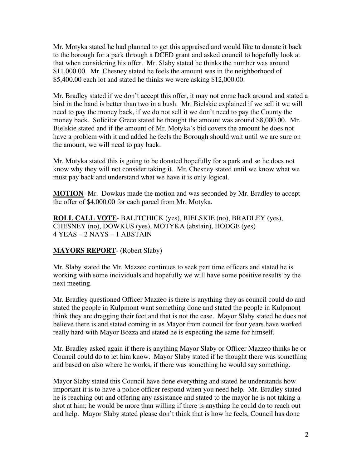Mr. Motyka stated he had planned to get this appraised and would like to donate it back to the borough for a park through a DCED grant and asked council to hopefully look at that when considering his offer. Mr. Slaby stated he thinks the number was around \$11,000.00. Mr. Chesney stated he feels the amount was in the neighborhood of \$5,400.00 each lot and stated he thinks we were asking \$12,000.00.

Mr. Bradley stated if we don't accept this offer, it may not come back around and stated a bird in the hand is better than two in a bush. Mr. Bielskie explained if we sell it we will need to pay the money back, if we do not sell it we don't need to pay the County the money back. Solicitor Greco stated he thought the amount was around \$8,000.00. Mr. Bielskie stated and if the amount of Mr. Motyka's bid covers the amount he does not have a problem with it and added he feels the Borough should wait until we are sure on the amount, we will need to pay back.

Mr. Motyka stated this is going to be donated hopefully for a park and so he does not know why they will not consider taking it. Mr. Chesney stated until we know what we must pay back and understand what we have it is only logical.

**MOTION**- Mr. Dowkus made the motion and was seconded by Mr. Bradley to accept the offer of \$4,000.00 for each parcel from Mr. Motyka.

**ROLL CALL VOTE**- BALITCHICK (yes), BIELSKIE (no), BRADLEY (yes), CHESNEY (no), DOWKUS (yes), MOTYKA (abstain), HODGE (yes) 4 YEAS – 2 NAYS – 1 ABSTAIN

#### **MAYORS REPORT**- (Robert Slaby)

Mr. Slaby stated the Mr. Mazzeo continues to seek part time officers and stated he is working with some individuals and hopefully we will have some positive results by the next meeting.

Mr. Bradley questioned Officer Mazzeo is there is anything they as council could do and stated the people in Kulpmont want something done and stated the people in Kulpmont think they are dragging their feet and that is not the case. Mayor Slaby stated he does not believe there is and stated coming in as Mayor from council for four years have worked really hard with Mayor Bozza and stated he is expecting the same for himself.

Mr. Bradley asked again if there is anything Mayor Slaby or Officer Mazzeo thinks he or Council could do to let him know. Mayor Slaby stated if he thought there was something and based on also where he works, if there was something he would say something.

Mayor Slaby stated this Council have done everything and stated he understands how important it is to have a police officer respond when you need help. Mr. Bradley stated he is reaching out and offering any assistance and stated to the mayor he is not taking a shot at him; he would be more than willing if there is anything he could do to reach out and help. Mayor Slaby stated please don't think that is how he feels, Council has done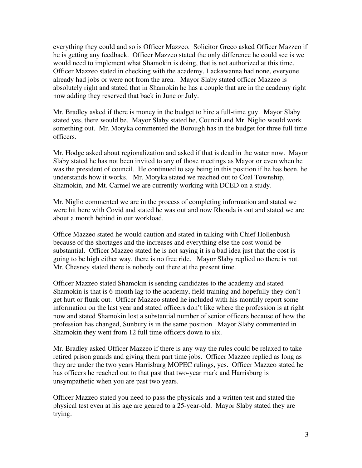everything they could and so is Officer Mazzeo. Solicitor Greco asked Officer Mazzeo if he is getting any feedback. Officer Mazzeo stated the only difference he could see is we would need to implement what Shamokin is doing, that is not authorized at this time. Officer Mazzeo stated in checking with the academy, Lackawanna had none, everyone already had jobs or were not from the area. Mayor Slaby stated officer Mazzeo is absolutely right and stated that in Shamokin he has a couple that are in the academy right now adding they reserved that back in June or July.

Mr. Bradley asked if there is money in the budget to hire a full-time guy. Mayor Slaby stated yes, there would be. Mayor Slaby stated he, Council and Mr. Niglio would work something out. Mr. Motyka commented the Borough has in the budget for three full time officers.

Mr. Hodge asked about regionalization and asked if that is dead in the water now. Mayor Slaby stated he has not been invited to any of those meetings as Mayor or even when he was the president of council. He continued to say being in this position if he has been, he understands how it works. Mr. Motyka stated we reached out to Coal Township, Shamokin, and Mt. Carmel we are currently working with DCED on a study.

Mr. Niglio commented we are in the process of completing information and stated we were hit here with Covid and stated he was out and now Rhonda is out and stated we are about a month behind in our workload.

Office Mazzeo stated he would caution and stated in talking with Chief Hollenbush because of the shortages and the increases and everything else the cost would be substantial. Officer Mazzeo stated he is not saying it is a bad idea just that the cost is going to be high either way, there is no free ride. Mayor Slaby replied no there is not. Mr. Chesney stated there is nobody out there at the present time.

Officer Mazzeo stated Shamokin is sending candidates to the academy and stated Shamokin is that is 6-month lag to the academy, field training and hopefully they don't get hurt or flunk out. Officer Mazzeo stated he included with his monthly report some information on the last year and stated officers don't like where the profession is at right now and stated Shamokin lost a substantial number of senior officers because of how the profession has changed, Sunbury is in the same position. Mayor Slaby commented in Shamokin they went from 12 full time officers down to six.

Mr. Bradley asked Officer Mazzeo if there is any way the rules could be relaxed to take retired prison guards and giving them part time jobs. Officer Mazzeo replied as long as they are under the two years Harrisburg MOPEC rulings, yes. Officer Mazzeo stated he has officers he reached out to that past that two-year mark and Harrisburg is unsympathetic when you are past two years.

Officer Mazzeo stated you need to pass the physicals and a written test and stated the physical test even at his age are geared to a 25-year-old. Mayor Slaby stated they are trying.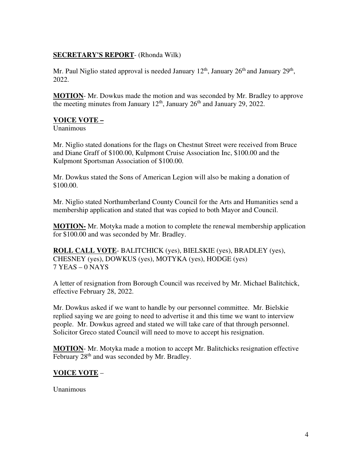#### **SECRETARY'S REPORT**- (Rhonda Wilk)

Mr. Paul Niglio stated approval is needed January  $12<sup>th</sup>$ , January  $26<sup>th</sup>$  and January  $29<sup>th</sup>$ , 2022.

**MOTION**- Mr. Dowkus made the motion and was seconded by Mr. Bradley to approve the meeting minutes from January  $12<sup>th</sup>$ , January  $26<sup>th</sup>$  and January 29, 2022.

#### **VOICE VOTE –**

Unanimous

Mr. Niglio stated donations for the flags on Chestnut Street were received from Bruce and Diane Graff of \$100.00, Kulpmont Cruise Association Inc, \$100.00 and the Kulpmont Sportsman Association of \$100.00.

Mr. Dowkus stated the Sons of American Legion will also be making a donation of \$100.00.

Mr. Niglio stated Northumberland County Council for the Arts and Humanities send a membership application and stated that was copied to both Mayor and Council.

**MOTION-** Mr. Motyka made a motion to complete the renewal membership application for \$100.00 and was seconded by Mr. Bradley.

**ROLL CALL VOTE**- BALITCHICK (yes), BIELSKIE (yes), BRADLEY (yes), CHESNEY (yes), DOWKUS (yes), MOTYKA (yes), HODGE (yes) 7 YEAS – 0 NAYS

A letter of resignation from Borough Council was received by Mr. Michael Balitchick, effective February 28, 2022.

Mr. Dowkus asked if we want to handle by our personnel committee. Mr. Bielskie replied saying we are going to need to advertise it and this time we want to interview people. Mr. Dowkus agreed and stated we will take care of that through personnel. Solicitor Greco stated Council will need to move to accept his resignation.

**MOTION**- Mr. Motyka made a motion to accept Mr. Balitchicks resignation effective February 28<sup>th</sup> and was seconded by Mr. Bradley.

# **VOICE VOTE** –

Unanimous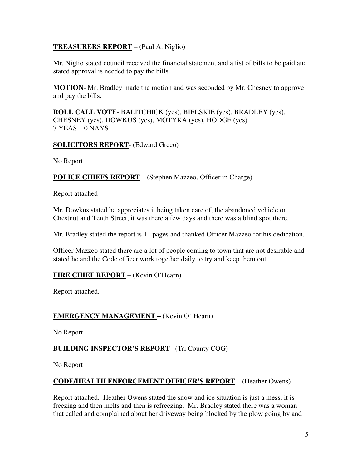#### **TREASURERS REPORT** – (Paul A. Niglio)

Mr. Niglio stated council received the financial statement and a list of bills to be paid and stated approval is needed to pay the bills.

**MOTION**- Mr. Bradley made the motion and was seconded by Mr. Chesney to approve and pay the bills.

**ROLL CALL VOTE**- BALITCHICK (yes), BIELSKIE (yes), BRADLEY (yes), CHESNEY (yes), DOWKUS (yes), MOTYKA (yes), HODGE (yes) 7 YEAS – 0 NAYS

**SOLICITORS REPORT**- (Edward Greco)

No Report

**POLICE CHIEFS REPORT** – (Stephen Mazzeo, Officer in Charge)

Report attached

Mr. Dowkus stated he appreciates it being taken care of, the abandoned vehicle on Chestnut and Tenth Street, it was there a few days and there was a blind spot there.

Mr. Bradley stated the report is 11 pages and thanked Officer Mazzeo for his dedication.

Officer Mazzeo stated there are a lot of people coming to town that are not desirable and stated he and the Code officer work together daily to try and keep them out.

# **FIRE CHIEF REPORT** – (Kevin O'Hearn)

Report attached.

# **EMERGENCY MANAGEMENT –** (Kevin O' Hearn)

No Report

#### **BUILDING INSPECTOR'S REPORT–** (Tri County COG)

No Report

#### **CODE/HEALTH ENFORCEMENT OFFICER'S REPORT** – (Heather Owens)

Report attached. Heather Owens stated the snow and ice situation is just a mess, it is freezing and then melts and then is refreezing. Mr. Bradley stated there was a woman that called and complained about her driveway being blocked by the plow going by and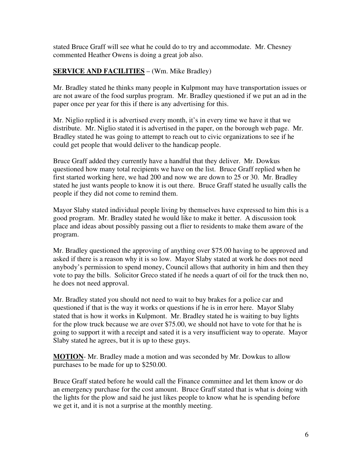stated Bruce Graff will see what he could do to try and accommodate. Mr. Chesney commented Heather Owens is doing a great job also.

#### **SERVICE AND FACILITIES** – (Wm. Mike Bradley)

Mr. Bradley stated he thinks many people in Kulpmont may have transportation issues or are not aware of the food surplus program. Mr. Bradley questioned if we put an ad in the paper once per year for this if there is any advertising for this.

Mr. Niglio replied it is advertised every month, it's in every time we have it that we distribute. Mr. Niglio stated it is advertised in the paper, on the borough web page. Mr. Bradley stated he was going to attempt to reach out to civic organizations to see if he could get people that would deliver to the handicap people.

Bruce Graff added they currently have a handful that they deliver. Mr. Dowkus questioned how many total recipients we have on the list. Bruce Graff replied when he first started working here, we had 200 and now we are down to 25 or 30. Mr. Bradley stated he just wants people to know it is out there. Bruce Graff stated he usually calls the people if they did not come to remind them.

Mayor Slaby stated individual people living by themselves have expressed to him this is a good program. Mr. Bradley stated he would like to make it better. A discussion took place and ideas about possibly passing out a flier to residents to make them aware of the program.

Mr. Bradley questioned the approving of anything over \$75.00 having to be approved and asked if there is a reason why it is so low. Mayor Slaby stated at work he does not need anybody's permission to spend money, Council allows that authority in him and then they vote to pay the bills. Solicitor Greco stated if he needs a quart of oil for the truck then no, he does not need approval.

Mr. Bradley stated you should not need to wait to buy brakes for a police car and questioned if that is the way it works or questions if he is in error here. Mayor Slaby stated that is how it works in Kulpmont. Mr. Bradley stated he is waiting to buy lights for the plow truck because we are over \$75.00, we should not have to vote for that he is going to support it with a receipt and sated it is a very insufficient way to operate. Mayor Slaby stated he agrees, but it is up to these guys.

**MOTION**- Mr. Bradley made a motion and was seconded by Mr. Dowkus to allow purchases to be made for up to \$250.00.

Bruce Graff stated before he would call the Finance committee and let them know or do an emergency purchase for the cost amount. Bruce Graff stated that is what is doing with the lights for the plow and said he just likes people to know what he is spending before we get it, and it is not a surprise at the monthly meeting.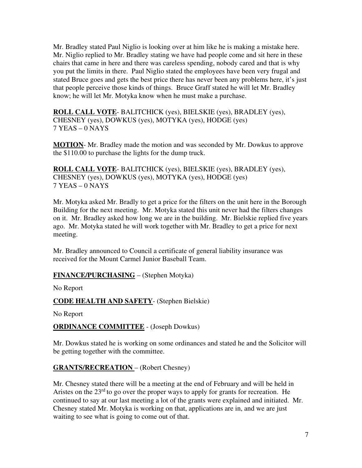Mr. Bradley stated Paul Niglio is looking over at him like he is making a mistake here. Mr. Niglio replied to Mr. Bradley stating we have had people come and sit here in these chairs that came in here and there was careless spending, nobody cared and that is why you put the limits in there. Paul Niglio stated the employees have been very frugal and stated Bruce goes and gets the best price there has never been any problems here, it's just that people perceive those kinds of things. Bruce Graff stated he will let Mr. Bradley know; he will let Mr. Motyka know when he must make a purchase.

**ROLL CALL VOTE**- BALITCHICK (yes), BIELSKIE (yes), BRADLEY (yes), CHESNEY (yes), DOWKUS (yes), MOTYKA (yes), HODGE (yes) 7 YEAS – 0 NAYS

**MOTION**- Mr. Bradley made the motion and was seconded by Mr. Dowkus to approve the \$110.00 to purchase the lights for the dump truck.

**ROLL CALL VOTE**- BALITCHICK (yes), BIELSKIE (yes), BRADLEY (yes), CHESNEY (yes), DOWKUS (yes), MOTYKA (yes), HODGE (yes) 7 YEAS – 0 NAYS

Mr. Motyka asked Mr. Bradly to get a price for the filters on the unit here in the Borough Building for the next meeting. Mr. Motyka stated this unit never had the filters changes on it. Mr. Bradley asked how long we are in the building. Mr. Bielskie replied five years ago. Mr. Motyka stated he will work together with Mr. Bradley to get a price for next meeting.

Mr. Bradley announced to Council a certificate of general liability insurance was received for the Mount Carmel Junior Baseball Team.

# **FINANCE/PURCHASING** – (Stephen Motyka)

No Report

#### **CODE HEALTH AND SAFETY**- (Stephen Bielskie)

No Report

#### **ORDINANCE COMMITTEE** - (Joseph Dowkus)

Mr. Dowkus stated he is working on some ordinances and stated he and the Solicitor will be getting together with the committee.

#### **GRANTS/RECREATION** – (Robert Chesney)

Mr. Chesney stated there will be a meeting at the end of February and will be held in Aristes on the  $23<sup>rd</sup>$  to go over the proper ways to apply for grants for recreation. He continued to say at our last meeting a lot of the grants were explained and initiated. Mr. Chesney stated Mr. Motyka is working on that, applications are in, and we are just waiting to see what is going to come out of that.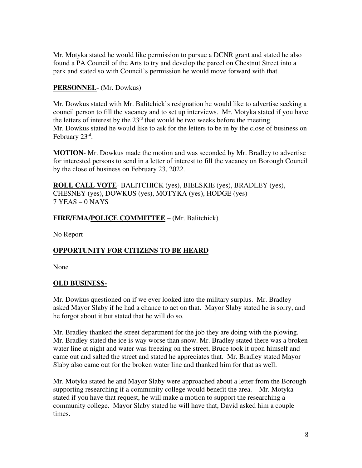Mr. Motyka stated he would like permission to pursue a DCNR grant and stated he also found a PA Council of the Arts to try and develop the parcel on Chestnut Street into a park and stated so with Council's permission he would move forward with that.

# **PERSONNEL**- (Mr. Dowkus)

Mr. Dowkus stated with Mr. Balitchick's resignation he would like to advertise seeking a council person to fill the vacancy and to set up interviews. Mr. Motyka stated if you have the letters of interest by the  $23<sup>rd</sup>$  that would be two weeks before the meeting. Mr. Dowkus stated he would like to ask for the letters to be in by the close of business on February 23rd.

**MOTION**- Mr. Dowkus made the motion and was seconded by Mr. Bradley to advertise for interested persons to send in a letter of interest to fill the vacancy on Borough Council by the close of business on February 23, 2022.

**ROLL CALL VOTE**- BALITCHICK (yes), BIELSKIE (yes), BRADLEY (yes), CHESNEY (yes), DOWKUS (yes), MOTYKA (yes), HODGE (yes) 7 YEAS – 0 NAYS

# **FIRE/EMA/POLICE COMMITTEE** – (Mr. Balitchick)

No Report

# **OPPORTUNITY FOR CITIZENS TO BE HEARD**

None

# **OLD BUSINESS-**

Mr. Dowkus questioned on if we ever looked into the military surplus. Mr. Bradley asked Mayor Slaby if he had a chance to act on that. Mayor Slaby stated he is sorry, and he forgot about it but stated that he will do so.

Mr. Bradley thanked the street department for the job they are doing with the plowing. Mr. Bradley stated the ice is way worse than snow. Mr. Bradley stated there was a broken water line at night and water was freezing on the street, Bruce took it upon himself and came out and salted the street and stated he appreciates that. Mr. Bradley stated Mayor Slaby also came out for the broken water line and thanked him for that as well.

Mr. Motyka stated he and Mayor Slaby were approached about a letter from the Borough supporting researching if a community college would benefit the area. Mr. Motyka stated if you have that request, he will make a motion to support the researching a community college. Mayor Slaby stated he will have that, David asked him a couple times.